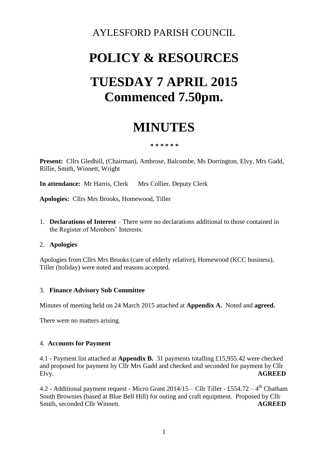### AYLESFORD PARISH COUNCIL

# **POLICY & RESOURCES TUESDAY 7 APRIL 2015 Commenced 7.50pm.**

## **MINUTES**

#### **\* \* \* \* \* \***

**Present:** Cllrs Gledhill, (Chairman), Ambrose, Balcombe, Ms Dorrington, Elvy, Mrs Gadd, Rillie, Smith, Winnett, Wright

**In attendance:** Mr Harris, Clerk Mrs Collier, Deputy Clerk

**Apologies:** Cllrs Mrs Brooks, Homewood, Tiller

1. **Declarations of Interest** – There were no declarations additional to those contained in the Register of Members' Interests.

#### 2. **Apologies**

Apologies from Cllrs Mrs Brooks (care of elderly relative), Homewood (KCC business), Tiller (holiday) were noted and reasons accepted.

#### 3. **Finance Advisory Sub Committee**

Minutes of meeting held on 24 March 2015 attached at **Appendix A.** Noted and **agreed.**

There were no matters arising.

#### 4. **Accounts for Payment**

4.1 - Payment list attached at **Appendix B.** 31 payments totalling £15,955.42 were checked and proposed for payment by Cllr Mrs Gadd and checked and seconded for payment by Cllr Elvy. **AGREED**

4.2 - Additional payment request - Micro Grant  $2014/15 -$  Cllr Tiller - £554.72 - 4<sup>th</sup> Chatham South Brownies (based at Blue Bell Hill) for outing and craft equipment. Proposed by Cllr Smith, seconded Cllr Winnett. **AGREED**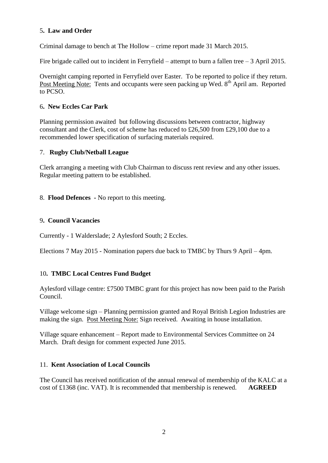#### 5**. Law and Order**

Criminal damage to bench at The Hollow – crime report made 31 March 2015.

Fire brigade called out to incident in Ferryfield – attempt to burn a fallen tree – 3 April 2015.

Overnight camping reported in Ferryfield over Easter. To be reported to police if they return. Post Meeting Note: Tents and occupants were seen packing up Wed. 8<sup>th</sup> April am. Reported to PCSO.

#### 6**. New Eccles Car Park**

Planning permission awaited but following discussions between contractor, highway consultant and the Clerk, cost of scheme has reduced to £26,500 from £29,100 due to a recommended lower specification of surfacing materials required.

#### 7. **Rugby Club/Netball League**

Clerk arranging a meeting with Club Chairman to discuss rent review and any other issues. Regular meeting pattern to be established.

8. **Flood Defences -** No report to this meeting.

#### 9**. Council Vacancies**

Currently - 1 Walderslade; 2 Aylesford South; 2 Eccles.

Elections 7 May 2015 - Nomination papers due back to TMBC by Thurs 9 April – 4pm.

#### 10**. TMBC Local Centres Fund Budget**

Aylesford village centre: £7500 TMBC grant for this project has now been paid to the Parish Council.

Village welcome sign – Planning permission granted and Royal British Legion Industries are making the sign. Post Meeting Note: Sign received. Awaiting in house installation.

Village square enhancement – Report made to Environmental Services Committee on 24 March. Draft design for comment expected June 2015.

#### 11. **Kent Association of Local Councils**

The Council has received notification of the annual renewal of membership of the KALC at a cost of £1368 (inc. VAT). It is recommended that membership is renewed. **AGREED**